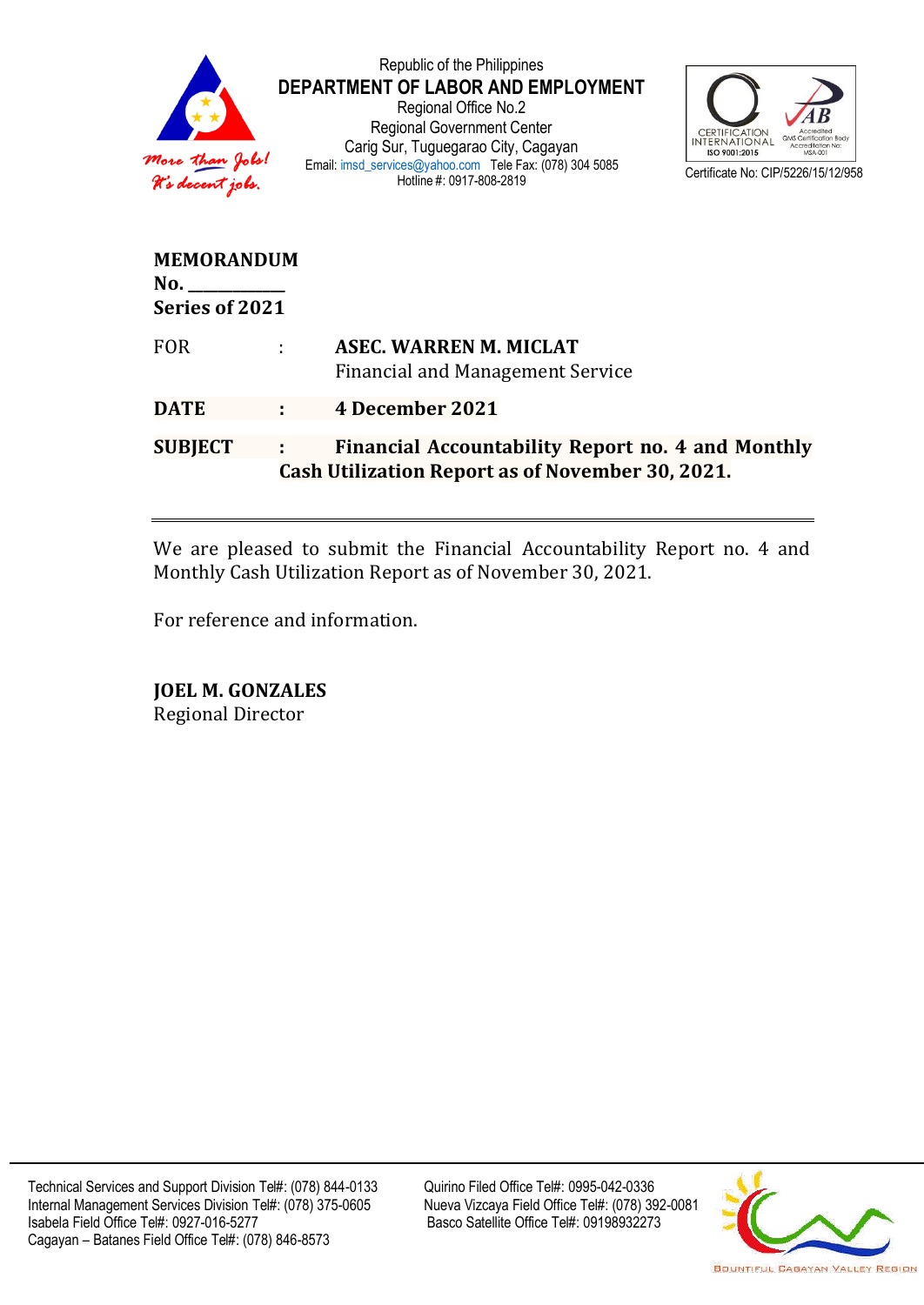

Republic of the Philippines **DEPARTMENT OF LABOR AND EMPLOYMENT** Regional Office No.2 Regional Government Center Carig Sur, Tuguegarao City, Cagayan Email[: imsd\\_services@yahoo.com](mailto:imsd_services@yahoo.com) Tele Fax: (078) 304 5085 Hotline #: 0917-808-2819



| <b>MEMORANDUM</b><br>No.<br>Series of 2021 |   |                                                                                                       |
|--------------------------------------------|---|-------------------------------------------------------------------------------------------------------|
| <b>FOR</b>                                 | ÷ | <b>ASEC. WARREN M. MICLAT</b><br><b>Financial and Management Service</b>                              |
| <b>DATE</b>                                |   | 4 December 2021                                                                                       |
| <b>SUBJECT</b>                             | ÷ | Financial Accountability Report no. 4 and Monthly<br>Cash Utilization Report as of November 30, 2021. |

We are pleased to submit the Financial Accountability Report no. 4 and Monthly Cash Utilization Report as of November 30, 2021.

For reference and information.

**JOEL M. GONZALES** Regional Director

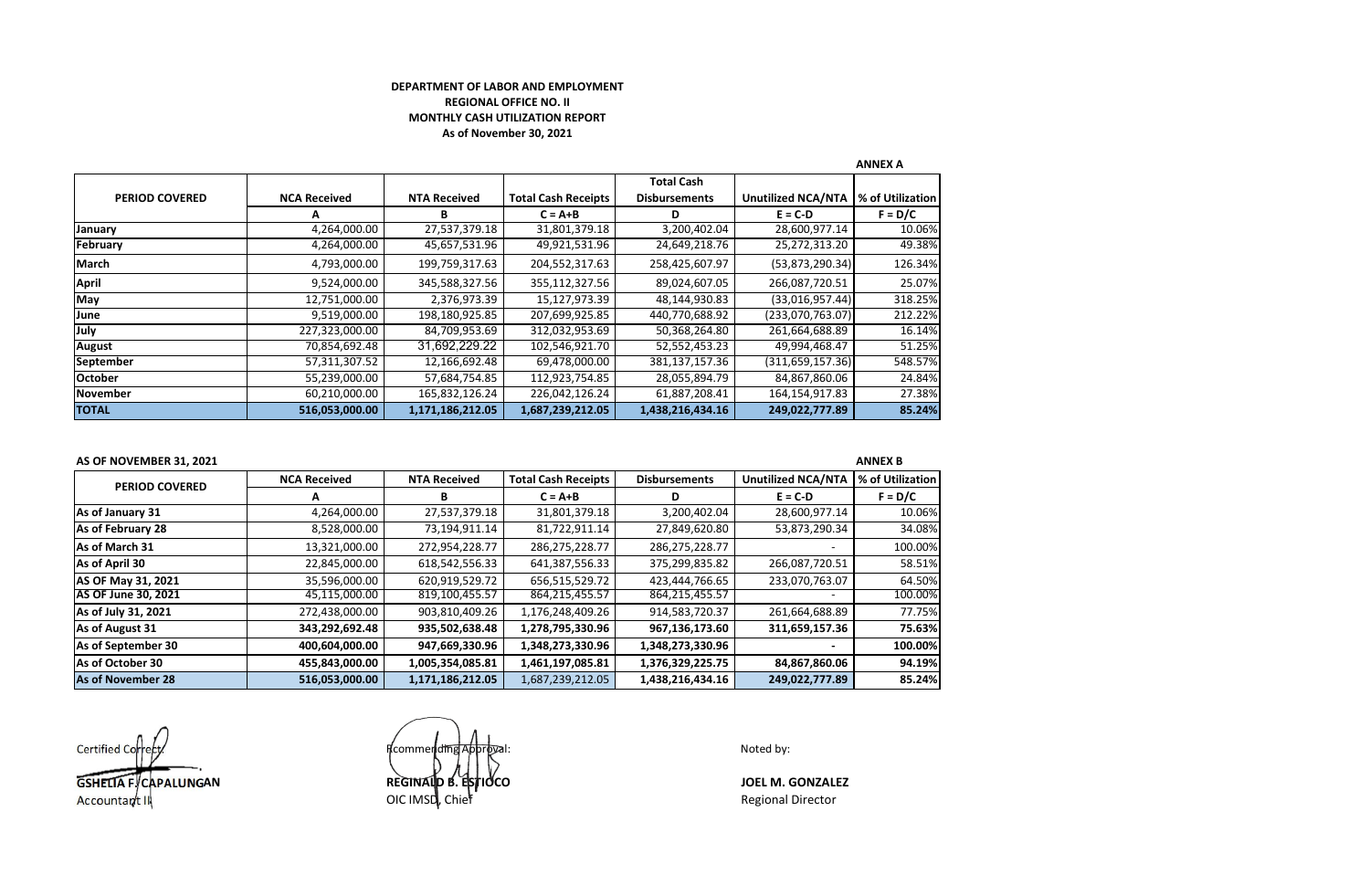## **DEPARTMENT OF LABOR AND EMPLOYMENT REGIONAL OFFICE NO. II MONTHLY CASH UTILIZATION REPORT As of November 30, 2021**

|                       |                     |                     |                            |                                           |                           | <b>ANNEX A</b>   |  |  |
|-----------------------|---------------------|---------------------|----------------------------|-------------------------------------------|---------------------------|------------------|--|--|
| <b>PERIOD COVERED</b> | <b>NCA Received</b> | <b>NTA Received</b> | <b>Total Cash Receipts</b> | <b>Total Cash</b><br><b>Disbursements</b> | <b>Unutilized NCA/NTA</b> | % of Utilization |  |  |
|                       | А                   | в                   | $C = A + B$                | D                                         | $E = C-D$                 | $F = D/C$        |  |  |
| January               | 4,264,000.00        | 27,537,379.18       | 31,801,379.18              | 3,200,402.04                              | 28,600,977.14             | 10.06%           |  |  |
| February              | 4,264,000.00        | 45,657,531.96       | 49,921,531.96              | 24,649,218.76                             | 25,272,313.20             | 49.38%           |  |  |
| March                 | 4,793,000.00        | 199,759,317.63      | 204,552,317.63             | 258,425,607.97                            | (53, 873, 290.34)         | 126.34%          |  |  |
| <b>April</b>          | 9,524,000.00        | 345,588,327.56      | 355,112,327.56             | 89,024,607.05                             | 266,087,720.51            | 25.07%           |  |  |
| May                   | 12,751,000.00       | 2,376,973.39        | 15,127,973.39              | 48,144,930.83                             | (33,016,957.44)           | 318.25%          |  |  |
| June                  | 9,519,000.00        | 198,180,925.85      | 207,699,925.85             | 440,770,688.92                            | (233,070,763.07)          | 212.22%          |  |  |
| July                  | 227,323,000.00      | 84,709,953.69       | 312,032,953.69             | 50,368,264.80                             | 261,664,688.89            | 16.14%           |  |  |
| <b>August</b>         | 70,854,692.48       | 31,692,229.22       | 102,546,921.70             | 52,552,453.23                             | 49,994,468.47             | 51.25%           |  |  |
| September             | 57,311,307.52       | 12,166,692.48       | 69,478,000.00              | 381,137,157.36                            | (311, 659, 157.36)        | 548.57%          |  |  |
| <b>October</b>        | 55,239,000.00       | 57,684,754.85       | 112,923,754.85             | 28,055,894.79                             | 84,867,860.06             | 24.84%           |  |  |
| <b>November</b>       | 60,210,000.00       | 165,832,126.24      | 226,042,126.24             | 61,887,208.41                             | 164,154,917.83            | 27.38%           |  |  |
| <b>TOTAL</b>          | 516,053,000.00      | 1,171,186,212.05    | 1,687,239,212.05           | 1,438,216,434.16                          | 249,022,777.89            | 85.24%           |  |  |

## **AS OF NOVEMBER 31, 2021 ANNEX B**

| <b>PERIOD COVERED</b>      | <b>NCA Received</b> | <b>NTA Received</b> | <b>Total Cash Receipts</b> | <b>Disbursements</b> | <b>Unutilized NCA/NTA</b> | % of Utilization |
|----------------------------|---------------------|---------------------|----------------------------|----------------------|---------------------------|------------------|
|                            | А                   | в                   | $C = A + B$                | D                    | $E = C-D$                 | $F = D/C$        |
| As of January 31           | 4,264,000.00        | 27,537,379.18       | 31,801,379.18              | 3,200,402.04         | 28,600,977.14             | 10.06%           |
| As of February 28          | 8,528,000.00        | 73,194,911.14       | 81,722,911.14              | 27,849,620.80        | 53,873,290.34             | 34.08%           |
| As of March 31             | 13,321,000.00       | 272,954,228.77      | 286,275,228.77             | 286,275,228.77       |                           | 100.00%          |
| As of April 30             | 22,845,000.00       | 618,542,556.33      | 641,387,556.33             | 375,299,835.82       | 266,087,720.51            | 58.51%           |
| AS OF May 31, 2021         | 35,596,000.00       | 620,919,529.72      | 656.515.529.72             | 423,444,766.65       | 233,070,763.07            | 64.50%           |
| <b>AS OF June 30, 2021</b> | 45,115,000.00       | 819,100,455.57      | 864,215,455.57             | 864,215,455.57       |                           | 100.00%          |
| As of July 31, 2021        | 272,438,000.00      | 903,810,409.26      | 1,176,248,409.26           | 914,583,720.37       | 261,664,688.89            | 77.75%           |
| As of August 31            | 343,292,692.48      | 935,502,638.48      | 1,278,795,330.96           | 967,136,173.60       | 311,659,157.36            | 75.63%           |
| As of September 30         | 400,604,000.00      | 947,669,330.96      | 1,348,273,330.96           | 1,348,273,330.96     |                           | 100.00%          |
| As of October 30           | 455,843,000.00      | 1,005,354,085.81    | 1,461,197,085.81           | 1,376,329,225.75     | 84,867,860.06             | 94.19%           |
| As of November 28          | 516,053,000.00      | 1,171,186,212.05    | 1,687,239,212.05           | 1,438,216,434.16     | 249,022,777.89            | 85.24%           |

Certified Correct Correction of the Correction of the Recommend<del>umg Approva</del>l: Noted by: Noted by: **GSHELIA F. CAPALUNGAN REGINALD B. ESTIOCO JOEL M. GONZALEZ**

REGINALD B. Estidco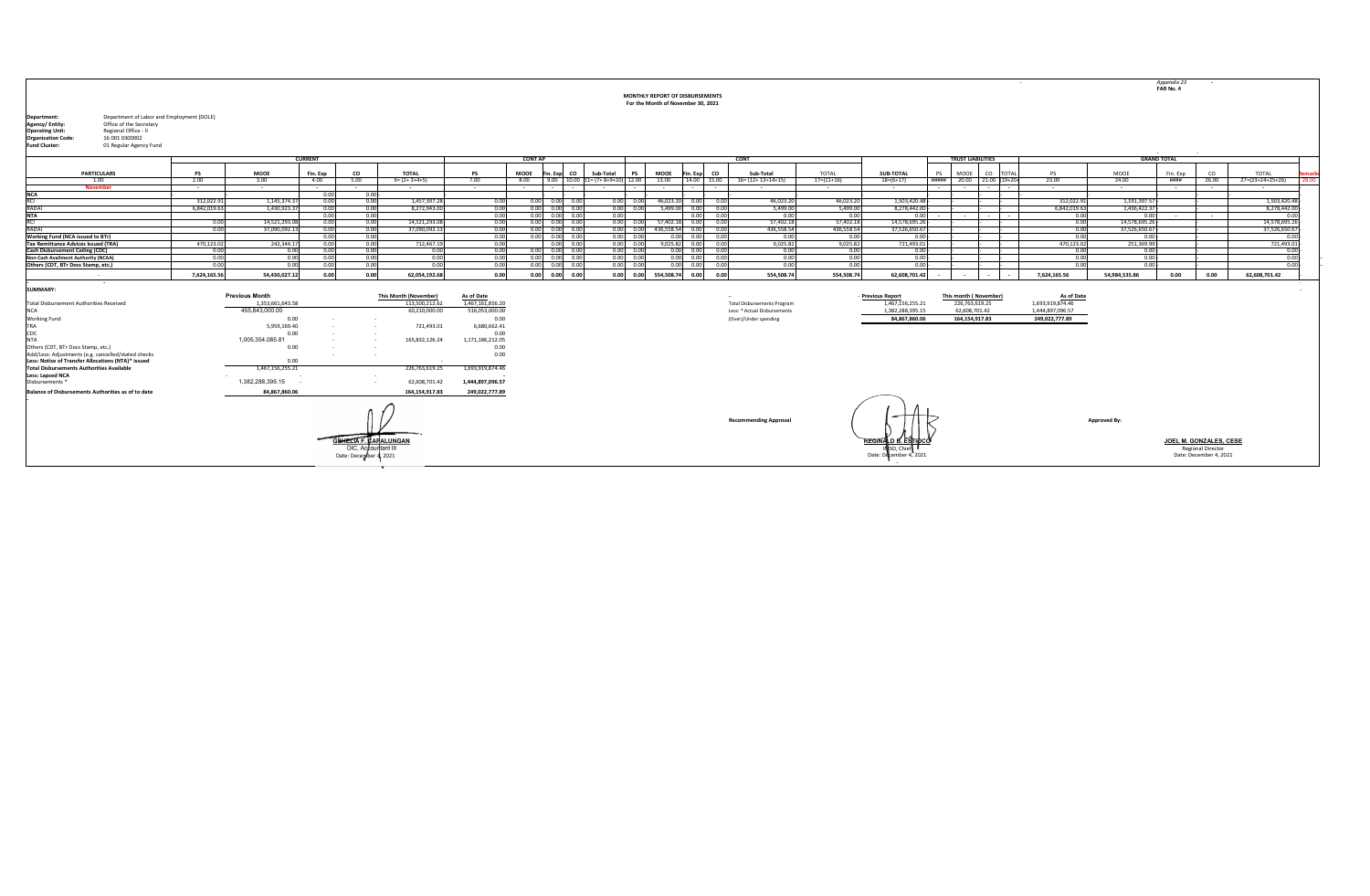|                                                                                                                                                                                                                                                           |                |                       |              |                                                           |                              |                   |                |                                              |                                           | MONTHLY REPORT OF DISBURSEMENTS<br>For the Month of November 30, 2021 |                      |      |                                    |                       |                                                             |                          |                           | $\sim$ 100 $\pm$ |                      |                      | Appendix 23<br>FAR No. 4 |                                                                                     |                      |       |
|-----------------------------------------------------------------------------------------------------------------------------------------------------------------------------------------------------------------------------------------------------------|----------------|-----------------------|--------------|-----------------------------------------------------------|------------------------------|-------------------|----------------|----------------------------------------------|-------------------------------------------|-----------------------------------------------------------------------|----------------------|------|------------------------------------|-----------------------|-------------------------------------------------------------|--------------------------|---------------------------|------------------|----------------------|----------------------|--------------------------|-------------------------------------------------------------------------------------|----------------------|-------|
| Department of Labor and Employment (DOLE)<br>Department:<br>Office of the Secretary<br>Agency/ Entity:<br>Regional Office - II<br><b>Operating Unit:</b><br><b>Organization Code:</b><br>16 001 0300002<br><b>Fund Cluster:</b><br>01 Regular Agency Fund |                |                       |              |                                                           |                              |                   |                |                                              |                                           |                                                                       |                      |      |                                    |                       |                                                             |                          |                           |                  |                      |                      |                          |                                                                                     |                      |       |
|                                                                                                                                                                                                                                                           | <b>CURRENT</b> |                       |              |                                                           |                              |                   | <b>CONT AP</b> |                                              |                                           |                                                                       |                      |      | <b>CONT</b>                        |                       |                                                             | <b>TRUST LIABILITIES</b> |                           |                  | <b>GRAND TOTAL</b>   |                      |                          |                                                                                     |                      |       |
| <b>PARTICULARS</b>                                                                                                                                                                                                                                        | <b>DS</b>      | MOOE                  | Fin. Exp     | co                                                        | <b>TOTAL</b>                 | <b>PS</b>         | <b>MOOE</b>    | Fin. Exp CO                                  | Sub-Total<br><b>PS</b>                    | MOOE                                                                  | Fin. Exp CO          |      | Sub-Total                          | TOTAL                 | <b>SUB-TOTAL</b>                                            | <b>PS</b>                | MOOE<br>co                | <b>TOTAL</b>     | <b>PS</b>            | MOOE                 | Fin. Exp                 | CO.                                                                                 | TOTAL                | mar   |
| 1.00                                                                                                                                                                                                                                                      | 2.00           | 3.00                  | 4.00         | 5.00                                                      | $6 = (2 + 3 + 4 + 5)$        | 7.00              | 8.00           |                                              | $9.00$   10.00   11= $(7+8+9+10)$   12.00 | 13.00                                                                 | 14.00 15.00          |      | $16 = (12 + 13 + 14 + 15)$         | $17 = (11 + 16)$      | $18= (6+17)$                                                |                          | ##### 20.00 21.00 (19+20+ |                  | 23.00                | 24.00                | ####                     | 26.00                                                                               | 27=(23+24+25+26)     | 28.00 |
| <b>November</b>                                                                                                                                                                                                                                           | $\sim$         | $\sim$                | $\sim$       | $\sim$                                                    | $\sim$                       | $\sim$ $-$        |                |                                              |                                           | $\sim$                                                                |                      |      | $\sim$                             | $\sim$                | $\sim$ $-$                                                  | $\sim$                   |                           |                  | $\sim$               | $\sim$ $-$           | $\sim$                   |                                                                                     | $\sim$               |       |
| <b>NCA</b>                                                                                                                                                                                                                                                |                |                       | 0.00         | $0.00 -$                                                  |                              |                   |                |                                              |                                           |                                                                       |                      |      |                                    |                       |                                                             |                          |                           |                  |                      |                      |                          |                                                                                     |                      |       |
| RCI<br>RADAI                                                                                                                                                                                                                                              | 312,022.9      | 1.145.374.3           | 0.01         | 0.00                                                      | 1.457.397.28                 | 0.00              |                | $0.00$ $0.00$ 0.0                            | 0.00                                      | 46,023.20                                                             | 0.00 0.0             |      | 46,023.2                           | 46,023.20<br>5.499.00 | 1.503.420.4                                                 |                          |                           |                  | 312.022.91           | 1.191.397.57         |                          |                                                                                     | 1,503,420.48         |       |
| NTA                                                                                                                                                                                                                                                       | 6,842,019.63   | 1,430,923.37          | 0.00<br>0.00 | 0.00<br>0.00                                              | 8,272,943.00                 | 0.00<br>0.00      |                | $0.00$ $0.00$ $0.00$<br>$0.00$ $0.00$ $0.00$ | 0.00                                      | $0.00$ $0.00$ $5,499.00$ $0.00$ $0.00$                                | 0.00                 | 0.00 | 5.499.00<br>0.00                   | 0.00                  | 8.278.442.00<br>0.00                                        |                          | $\sim$<br>$\sim$          |                  | 6,842,019.63<br>0.00 | 1,436,422.37<br>0.00 |                          | $\sim$                                                                              | 8,278,442.00<br>0.00 |       |
| RCI                                                                                                                                                                                                                                                       | 0.00           | 14.521.293.08         | 0.00         | 0.00                                                      | 14.521.293.08                | 0.00              |                | $0.00$ $0.00$ $0.00$                         |                                           | 0.00 0.00 57.402.18 0.00 0.00                                         |                      |      | 57.402.18                          | 57,402.18             | 14.578.695.26                                               |                          |                           |                  | 0.00                 | 14.578.695.26        |                          |                                                                                     | 14.578.695.26        |       |
| RADAI                                                                                                                                                                                                                                                     | 0.00           | 37.090.092.13         | 0.00         | 0.00                                                      | 37.090.092.13                | 0.00              |                | $0.00$ $0.00$ $0.00$                         | 0.00                                      | 0.00 436,558.54                                                       | 0.00                 | 0.00 | 436,558.54                         | 436.558.54            | 37,526,650.6                                                |                          |                           |                  | 0.00                 | 37,526,650.67        |                          |                                                                                     | 37,526,650.6         |       |
| Working Fund (NCA issued to BTr)                                                                                                                                                                                                                          |                |                       | 0.00         | 0.00                                                      |                              | 0.00              |                | $0.00$ $0.00$ $0.00$                         | 0.00<br>0.00                              |                                                                       | 0.00 0.00 0.00       |      | 0.00                               | 0.00                  | 0.00                                                        |                          |                           |                  | 0.00                 | $0.00 -$             |                          |                                                                                     | 0.00                 |       |
| <b>Tax Remittance Advices Issued (TRA)</b>                                                                                                                                                                                                                | 470,123.0      | 242,344.1             | 0.00         | 0.00                                                      | 712,467.19                   | 0.00              |                | 0.00 0.0                                     | 0.00<br>0.00                              | 9,025.82                                                              | 0.00                 | 0.00 | 9,025.82                           | 9,025.82              | 721,493.0                                                   |                          |                           |                  | 470,123.02           | 251,369.99           |                          |                                                                                     | 721,493.01           |       |
| Cash Disbursement Ceiling (CDC)                                                                                                                                                                                                                           | 0.00           | 0.00                  | 0.00         | 0.00                                                      | 0.00                         | 0.00              |                | $0.00$ $0.00$ $0.00$                         | 0.00<br>0.00                              |                                                                       | $0.00$ $0.00$ $0.00$ |      | 0.00                               | 0.00                  | 0.00                                                        |                          |                           |                  | 0.00                 | $0.00 -$             |                          |                                                                                     | 0.00                 |       |
| Non-Cash Availment Authority (NCAA)                                                                                                                                                                                                                       | 0.00           | 0.00                  | 0.00         | 0.00                                                      | 0.00                         | 0.00              |                | $0.00$ $0.00$ $0.00$                         | 0.00<br>0.00                              | 0.00                                                                  | 0.00                 | 0.00 | 0.00                               | 0.00                  | 0.00                                                        |                          |                           |                  | 0.00                 | $0.00 -$             |                          |                                                                                     | 0.00                 |       |
| Others (CDT, BTr Docs Stamp, etc.)                                                                                                                                                                                                                        | 0.00           | 0.00                  | 0.00         | 0.00                                                      | 0.00                         | 0.00              |                | $0.00$ $0.00$ $0.00$                         | 0.00<br>0.00                              |                                                                       | $0.00$ $0.00$ $0.00$ |      | 0.00                               | 0.00                  | 0.00                                                        |                          |                           |                  | 0.00                 | $0.00 -$             |                          |                                                                                     | 0.00                 |       |
|                                                                                                                                                                                                                                                           | 7.624.165.56   | 54.430.027.12         | 0.00         | 0.00                                                      | 62.054.192.68                | 0.00              | 0.00           | $0.00$ $0.00$                                | 0.00 0.00                                 | 554,508.74                                                            | 0.00                 | 0.00 | 554.508.74                         | 554.508.74            | 62.608.701.42                                               |                          |                           |                  | 7.624.165.56         | 54.984.535.86        | 0.00                     | 0.00                                                                                | 62,608,701.42        |       |
| $\sim$<br><b>SUMMARY:</b>                                                                                                                                                                                                                                 |                |                       |              |                                                           |                              |                   |                |                                              |                                           |                                                                       |                      |      |                                    |                       |                                                             |                          |                           |                  |                      |                      |                          |                                                                                     |                      |       |
|                                                                                                                                                                                                                                                           |                | <b>Previous Month</b> |              |                                                           | <b>This Month (November)</b> | <b>As of Date</b> |                |                                              |                                           |                                                                       |                      |      |                                    |                       | - Previous Report                                           |                          | This month (November)     |                  | As of Date           |                      |                          |                                                                                     |                      |       |
| <b>Total Disbursement Authorities Received</b>                                                                                                                                                                                                            |                | 1.353.661.643.58      |              |                                                           | 113.500.212.62               | 1.467.161.856.20  |                |                                              |                                           |                                                                       |                      |      | <b>Total Disbursements Program</b> |                       | 1,467,156,255.21                                            |                          | 226,763,619.25            |                  | 1,693,919,874.46     |                      |                          |                                                                                     |                      |       |
| NCA.                                                                                                                                                                                                                                                      |                | 455.843.000.00        |              |                                                           | 60,210,000.00                | 516,053,000.00    |                |                                              |                                           |                                                                       |                      |      | Less: * Actual Disbursements       |                       | 1,382,288,395.15                                            |                          | 62,608,701.42             |                  | 1,444,897,096.57     |                      |                          |                                                                                     |                      |       |
| Working Fund                                                                                                                                                                                                                                              |                | 0.00                  |              | $\sim$                                                    |                              | 0.00              |                |                                              |                                           |                                                                       |                      |      | (Over)/Under spending              |                       | 84.867.860.06                                               |                          | 164, 154, 917.83          |                  | 249,022,777.89       |                      |                          |                                                                                     |                      |       |
| TRA                                                                                                                                                                                                                                                       |                | 5,959,169.40          |              | $\sim$                                                    | 721,493.01                   | 6,680,662.41      |                |                                              |                                           |                                                                       |                      |      |                                    |                       |                                                             |                          |                           |                  |                      |                      |                          |                                                                                     |                      |       |
| CDC                                                                                                                                                                                                                                                       |                | 0.00                  |              |                                                           |                              | 0.00              |                |                                              |                                           |                                                                       |                      |      |                                    |                       |                                                             |                          |                           |                  |                      |                      |                          |                                                                                     |                      |       |
| NTA                                                                                                                                                                                                                                                       |                | 1,005,354,085.81      |              |                                                           | 165,832,126.24               | 1,171,186,212.05  |                |                                              |                                           |                                                                       |                      |      |                                    |                       |                                                             |                          |                           |                  |                      |                      |                          |                                                                                     |                      |       |
| Others (CDT, BTr Docs Stamp, etc.)                                                                                                                                                                                                                        |                | 0.00                  |              |                                                           |                              | 0.00              |                |                                              |                                           |                                                                       |                      |      |                                    |                       |                                                             |                          |                           |                  |                      |                      |                          |                                                                                     |                      |       |
| Add/Less: Adjustments (e.g. cancelled/stated checks                                                                                                                                                                                                       |                |                       |              | $\sim$                                                    |                              | 0.00              |                |                                              |                                           |                                                                       |                      |      |                                    |                       |                                                             |                          |                           |                  |                      |                      |                          |                                                                                     |                      |       |
| Less: Notice of Transfer Allocations (NTA)* issued<br><b>Total Disbursements Authorities Available</b>                                                                                                                                                    |                | 0.00                  |              |                                                           |                              |                   |                |                                              |                                           |                                                                       |                      |      |                                    |                       |                                                             |                          |                           |                  |                      |                      |                          |                                                                                     |                      |       |
|                                                                                                                                                                                                                                                           |                | 1,467,156,255.21      |              | $\sim$                                                    | 226,763,619.25               | 1,693,919,874.46  |                |                                              |                                           |                                                                       |                      |      |                                    |                       |                                                             |                          |                           |                  |                      |                      |                          |                                                                                     |                      |       |
| Less: Lapsed NCA<br>Disbursements *                                                                                                                                                                                                                       |                | 1,382,288,395.15      |              | $\sim$                                                    | 62,608,701.42                | 1,444,897,096.57  |                |                                              |                                           |                                                                       |                      |      |                                    |                       |                                                             |                          |                           |                  |                      |                      |                          |                                                                                     |                      |       |
| <b>Balance of Disbursements Authorities as of to date</b>                                                                                                                                                                                                 |                | 84.867.860.06         |              |                                                           | 164.154.917.83               | 249,022,777.89    |                |                                              |                                           |                                                                       |                      |      |                                    |                       |                                                             |                          |                           |                  |                      |                      |                          |                                                                                     |                      |       |
|                                                                                                                                                                                                                                                           |                |                       |              |                                                           |                              |                   |                |                                              |                                           |                                                                       |                      |      | <b>Recommending Approval</b>       |                       |                                                             |                          |                           |                  |                      | Approved By:         |                          |                                                                                     |                      |       |
|                                                                                                                                                                                                                                                           |                |                       |              | SHELTA F<br>OIC, Accountant III<br>Date: December 4, 2021 | <b>CARALUNGAN</b>            |                   |                |                                              |                                           |                                                                       |                      |      |                                    |                       | REGINALD B. ESTIDCO<br>ISD, Chief<br>Date: December 4, 2021 |                          |                           |                  |                      |                      |                          | <b>JOEL M. GONZALES. CESE</b><br><b>Regional Director</b><br>Date: December 4, 2021 |                      |       |

- -